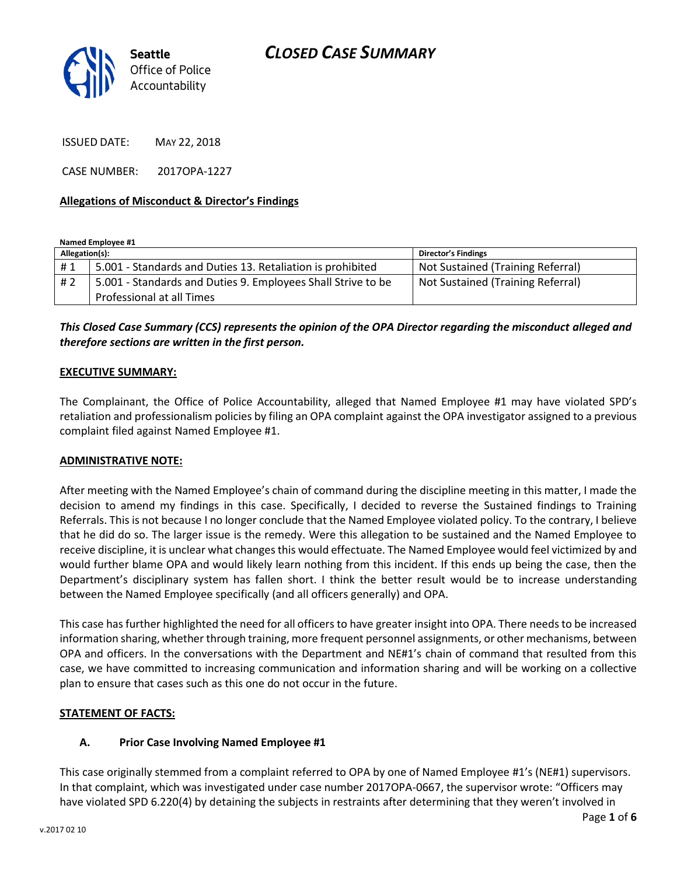

ISSUED DATE: MAY 22, 2018

CASE NUMBER: 2017OPA-1227

#### **Allegations of Misconduct & Director's Findings**

**Named Employee #1**

| Allegation(s): |                                                              | <b>Director's Findings</b>        |
|----------------|--------------------------------------------------------------|-----------------------------------|
| #1             | 5.001 - Standards and Duties 13. Retaliation is prohibited   | Not Sustained (Training Referral) |
| # 2            | 5.001 - Standards and Duties 9. Employees Shall Strive to be | Not Sustained (Training Referral) |
|                | Professional at all Times                                    |                                   |

*This Closed Case Summary (CCS) represents the opinion of the OPA Director regarding the misconduct alleged and therefore sections are written in the first person.* 

#### **EXECUTIVE SUMMARY:**

The Complainant, the Office of Police Accountability, alleged that Named Employee #1 may have violated SPD's retaliation and professionalism policies by filing an OPA complaint against the OPA investigator assigned to a previous complaint filed against Named Employee #1.

#### **ADMINISTRATIVE NOTE:**

After meeting with the Named Employee's chain of command during the discipline meeting in this matter, I made the decision to amend my findings in this case. Specifically, I decided to reverse the Sustained findings to Training Referrals. This is not because I no longer conclude that the Named Employee violated policy. To the contrary, I believe that he did do so. The larger issue is the remedy. Were this allegation to be sustained and the Named Employee to receive discipline, it is unclear what changes this would effectuate. The Named Employee would feel victimized by and would further blame OPA and would likely learn nothing from this incident. If this ends up being the case, then the Department's disciplinary system has fallen short. I think the better result would be to increase understanding between the Named Employee specifically (and all officers generally) and OPA.

This case has further highlighted the need for all officers to have greater insight into OPA. There needs to be increased information sharing, whether through training, more frequent personnel assignments, or other mechanisms, between OPA and officers. In the conversations with the Department and NE#1's chain of command that resulted from this case, we have committed to increasing communication and information sharing and will be working on a collective plan to ensure that cases such as this one do not occur in the future.

### **STATEMENT OF FACTS:**

### **A. Prior Case Involving Named Employee #1**

This case originally stemmed from a complaint referred to OPA by one of Named Employee #1's (NE#1) supervisors. In that complaint, which was investigated under case number 2017OPA-0667, the supervisor wrote: "Officers may have violated SPD 6.220(4) by detaining the subjects in restraints after determining that they weren't involved in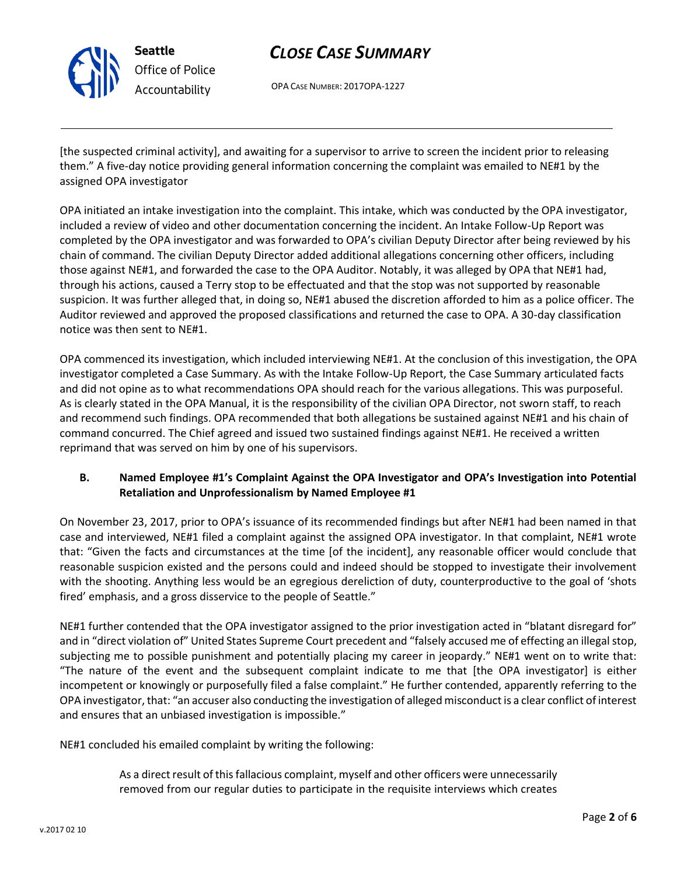

*Office of Police Accountability*

# *CLOSE CASE SUMMARY*

OPA CASE NUMBER: 2017OPA-1227

[the suspected criminal activity], and awaiting for a supervisor to arrive to screen the incident prior to releasing them." A five-day notice providing general information concerning the complaint was emailed to NE#1 by the assigned OPA investigator

OPA initiated an intake investigation into the complaint. This intake, which was conducted by the OPA investigator, included a review of video and other documentation concerning the incident. An Intake Follow-Up Report was completed by the OPA investigator and was forwarded to OPA's civilian Deputy Director after being reviewed by his chain of command. The civilian Deputy Director added additional allegations concerning other officers, including those against NE#1, and forwarded the case to the OPA Auditor. Notably, it was alleged by OPA that NE#1 had, through his actions, caused a Terry stop to be effectuated and that the stop was not supported by reasonable suspicion. It was further alleged that, in doing so, NE#1 abused the discretion afforded to him as a police officer. The Auditor reviewed and approved the proposed classifications and returned the case to OPA. A 30-day classification notice was then sent to NE#1.

OPA commenced its investigation, which included interviewing NE#1. At the conclusion of this investigation, the OPA investigator completed a Case Summary. As with the Intake Follow-Up Report, the Case Summary articulated facts and did not opine as to what recommendations OPA should reach for the various allegations. This was purposeful. As is clearly stated in the OPA Manual, it is the responsibility of the civilian OPA Director, not sworn staff, to reach and recommend such findings. OPA recommended that both allegations be sustained against NE#1 and his chain of command concurred. The Chief agreed and issued two sustained findings against NE#1. He received a written reprimand that was served on him by one of his supervisors.

## **B. Named Employee #1's Complaint Against the OPA Investigator and OPA's Investigation into Potential Retaliation and Unprofessionalism by Named Employee #1**

On November 23, 2017, prior to OPA's issuance of its recommended findings but after NE#1 had been named in that case and interviewed, NE#1 filed a complaint against the assigned OPA investigator. In that complaint, NE#1 wrote that: "Given the facts and circumstances at the time [of the incident], any reasonable officer would conclude that reasonable suspicion existed and the persons could and indeed should be stopped to investigate their involvement with the shooting. Anything less would be an egregious dereliction of duty, counterproductive to the goal of 'shots fired' emphasis, and a gross disservice to the people of Seattle."

NE#1 further contended that the OPA investigator assigned to the prior investigation acted in "blatant disregard for" and in "direct violation of" United States Supreme Court precedent and "falsely accused me of effecting an illegal stop, subjecting me to possible punishment and potentially placing my career in jeopardy." NE#1 went on to write that: "The nature of the event and the subsequent complaint indicate to me that [the OPA investigator] is either incompetent or knowingly or purposefully filed a false complaint." He further contended, apparently referring to the OPA investigator, that: "an accuser also conducting the investigation of alleged misconduct is a clear conflict of interest and ensures that an unbiased investigation is impossible."

NE#1 concluded his emailed complaint by writing the following:

As a direct result of this fallacious complaint, myself and other officers were unnecessarily removed from our regular duties to participate in the requisite interviews which creates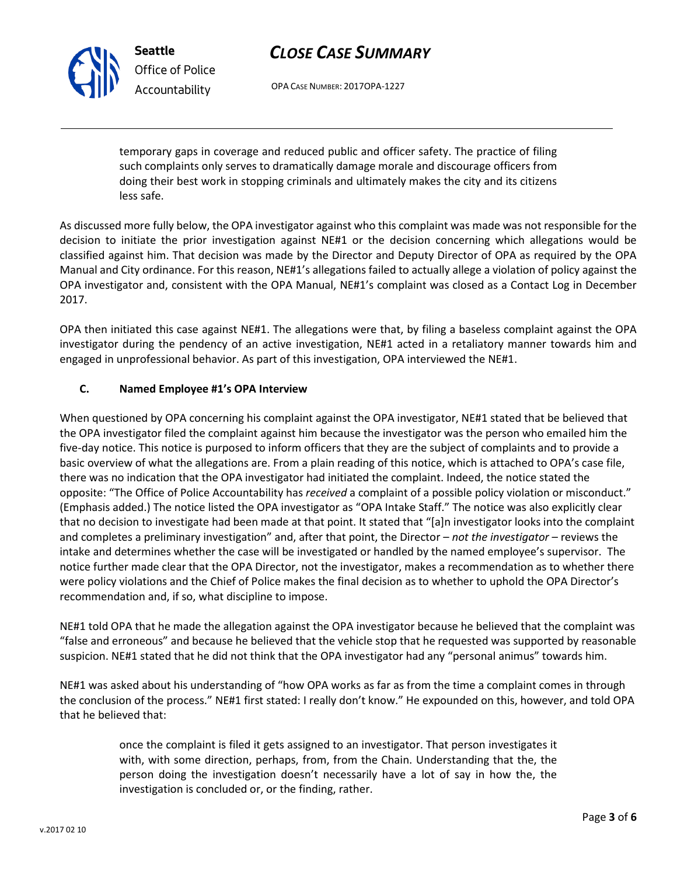OPA CASE NUMBER: 2017OPA-1227

temporary gaps in coverage and reduced public and officer safety. The practice of filing such complaints only serves to dramatically damage morale and discourage officers from doing their best work in stopping criminals and ultimately makes the city and its citizens less safe.

As discussed more fully below, the OPA investigator against who this complaint was made was not responsible for the decision to initiate the prior investigation against NE#1 or the decision concerning which allegations would be classified against him. That decision was made by the Director and Deputy Director of OPA as required by the OPA Manual and City ordinance. For this reason, NE#1's allegations failed to actually allege a violation of policy against the OPA investigator and, consistent with the OPA Manual, NE#1's complaint was closed as a Contact Log in December 2017.

OPA then initiated this case against NE#1. The allegations were that, by filing a baseless complaint against the OPA investigator during the pendency of an active investigation, NE#1 acted in a retaliatory manner towards him and engaged in unprofessional behavior. As part of this investigation, OPA interviewed the NE#1.

## **C. Named Employee #1's OPA Interview**

When questioned by OPA concerning his complaint against the OPA investigator, NE#1 stated that be believed that the OPA investigator filed the complaint against him because the investigator was the person who emailed him the five-day notice. This notice is purposed to inform officers that they are the subject of complaints and to provide a basic overview of what the allegations are. From a plain reading of this notice, which is attached to OPA's case file, there was no indication that the OPA investigator had initiated the complaint. Indeed, the notice stated the opposite: "The Office of Police Accountability has *received* a complaint of a possible policy violation or misconduct." (Emphasis added.) The notice listed the OPA investigator as "OPA Intake Staff." The notice was also explicitly clear that no decision to investigate had been made at that point. It stated that "[a]n investigator looks into the complaint and completes a preliminary investigation" and, after that point, the Director – *not the investigator* – reviews the intake and determines whether the case will be investigated or handled by the named employee's supervisor. The notice further made clear that the OPA Director, not the investigator, makes a recommendation as to whether there were policy violations and the Chief of Police makes the final decision as to whether to uphold the OPA Director's recommendation and, if so, what discipline to impose.

NE#1 told OPA that he made the allegation against the OPA investigator because he believed that the complaint was "false and erroneous" and because he believed that the vehicle stop that he requested was supported by reasonable suspicion. NE#1 stated that he did not think that the OPA investigator had any "personal animus" towards him.

NE#1 was asked about his understanding of "how OPA works as far as from the time a complaint comes in through the conclusion of the process." NE#1 first stated: I really don't know." He expounded on this, however, and told OPA that he believed that:

> once the complaint is filed it gets assigned to an investigator. That person investigates it with, with some direction, perhaps, from, from the Chain. Understanding that the, the person doing the investigation doesn't necessarily have a lot of say in how the, the investigation is concluded or, or the finding, rather.



**Seattle**

*Office of Police Accountability*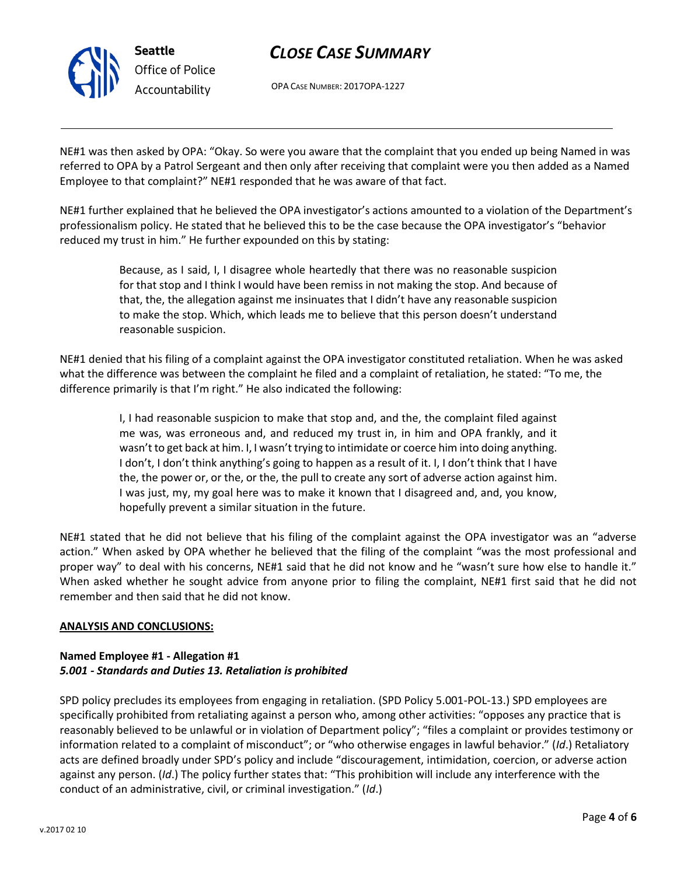

OPA CASE NUMBER: 2017OPA-1227

NE#1 was then asked by OPA: "Okay. So were you aware that the complaint that you ended up being Named in was referred to OPA by a Patrol Sergeant and then only after receiving that complaint were you then added as a Named Employee to that complaint?" NE#1 responded that he was aware of that fact.

NE#1 further explained that he believed the OPA investigator's actions amounted to a violation of the Department's professionalism policy. He stated that he believed this to be the case because the OPA investigator's "behavior reduced my trust in him." He further expounded on this by stating:

> Because, as I said, I, I disagree whole heartedly that there was no reasonable suspicion for that stop and I think I would have been remiss in not making the stop. And because of that, the, the allegation against me insinuates that I didn't have any reasonable suspicion to make the stop. Which, which leads me to believe that this person doesn't understand reasonable suspicion.

NE#1 denied that his filing of a complaint against the OPA investigator constituted retaliation. When he was asked what the difference was between the complaint he filed and a complaint of retaliation, he stated: "To me, the difference primarily is that I'm right." He also indicated the following:

> I, I had reasonable suspicion to make that stop and, and the, the complaint filed against me was, was erroneous and, and reduced my trust in, in him and OPA frankly, and it wasn't to get back at him. I, I wasn't trying to intimidate or coerce him into doing anything. I don't, I don't think anything's going to happen as a result of it. I, I don't think that I have the, the power or, or the, or the, the pull to create any sort of adverse action against him. I was just, my, my goal here was to make it known that I disagreed and, and, you know, hopefully prevent a similar situation in the future.

NE#1 stated that he did not believe that his filing of the complaint against the OPA investigator was an "adverse action." When asked by OPA whether he believed that the filing of the complaint "was the most professional and proper way" to deal with his concerns, NE#1 said that he did not know and he "wasn't sure how else to handle it." When asked whether he sought advice from anyone prior to filing the complaint, NE#1 first said that he did not remember and then said that he did not know.

### **ANALYSIS AND CONCLUSIONS:**

## **Named Employee #1 - Allegation #1** *5.001 - Standards and Duties 13. Retaliation is prohibited*

SPD policy precludes its employees from engaging in retaliation. (SPD Policy 5.001-POL-13.) SPD employees are specifically prohibited from retaliating against a person who, among other activities: "opposes any practice that is reasonably believed to be unlawful or in violation of Department policy"; "files a complaint or provides testimony or information related to a complaint of misconduct"; or "who otherwise engages in lawful behavior." (*Id*.) Retaliatory acts are defined broadly under SPD's policy and include "discouragement, intimidation, coercion, or adverse action against any person. (*Id*.) The policy further states that: "This prohibition will include any interference with the conduct of an administrative, civil, or criminal investigation." (*Id*.)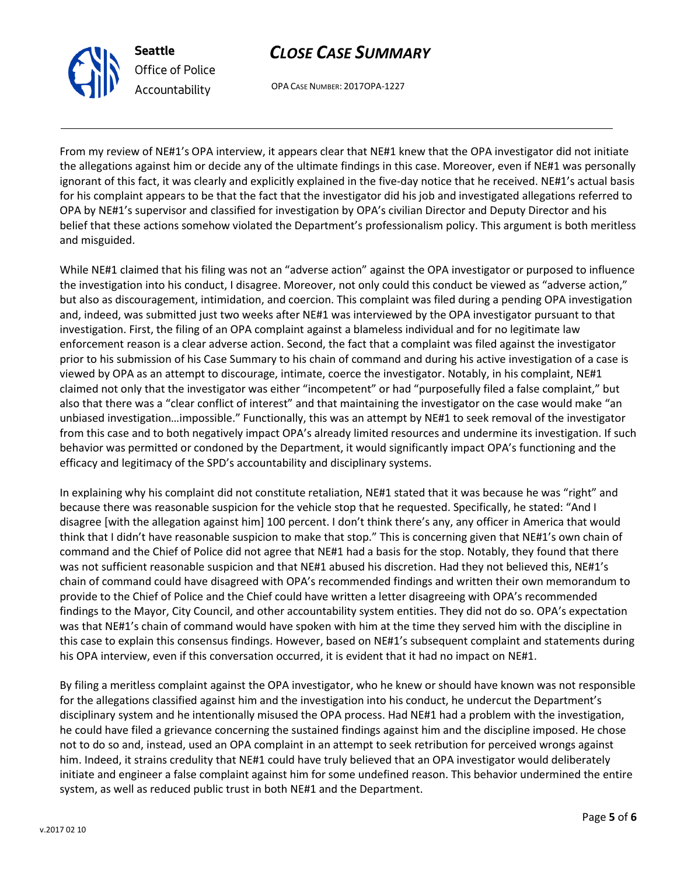

OPA CASE NUMBER: 2017OPA-1227

From my review of NE#1's OPA interview, it appears clear that NE#1 knew that the OPA investigator did not initiate the allegations against him or decide any of the ultimate findings in this case. Moreover, even if NE#1 was personally ignorant of this fact, it was clearly and explicitly explained in the five-day notice that he received. NE#1's actual basis for his complaint appears to be that the fact that the investigator did his job and investigated allegations referred to OPA by NE#1's supervisor and classified for investigation by OPA's civilian Director and Deputy Director and his belief that these actions somehow violated the Department's professionalism policy. This argument is both meritless and misguided.

While NE#1 claimed that his filing was not an "adverse action" against the OPA investigator or purposed to influence the investigation into his conduct, I disagree. Moreover, not only could this conduct be viewed as "adverse action," but also as discouragement, intimidation, and coercion. This complaint was filed during a pending OPA investigation and, indeed, was submitted just two weeks after NE#1 was interviewed by the OPA investigator pursuant to that investigation. First, the filing of an OPA complaint against a blameless individual and for no legitimate law enforcement reason is a clear adverse action. Second, the fact that a complaint was filed against the investigator prior to his submission of his Case Summary to his chain of command and during his active investigation of a case is viewed by OPA as an attempt to discourage, intimate, coerce the investigator. Notably, in his complaint, NE#1 claimed not only that the investigator was either "incompetent" or had "purposefully filed a false complaint," but also that there was a "clear conflict of interest" and that maintaining the investigator on the case would make "an unbiased investigation…impossible." Functionally, this was an attempt by NE#1 to seek removal of the investigator from this case and to both negatively impact OPA's already limited resources and undermine its investigation. If such behavior was permitted or condoned by the Department, it would significantly impact OPA's functioning and the efficacy and legitimacy of the SPD's accountability and disciplinary systems.

In explaining why his complaint did not constitute retaliation, NE#1 stated that it was because he was "right" and because there was reasonable suspicion for the vehicle stop that he requested. Specifically, he stated: "And I disagree [with the allegation against him] 100 percent. I don't think there's any, any officer in America that would think that I didn't have reasonable suspicion to make that stop." This is concerning given that NE#1's own chain of command and the Chief of Police did not agree that NE#1 had a basis for the stop. Notably, they found that there was not sufficient reasonable suspicion and that NE#1 abused his discretion. Had they not believed this, NE#1's chain of command could have disagreed with OPA's recommended findings and written their own memorandum to provide to the Chief of Police and the Chief could have written a letter disagreeing with OPA's recommended findings to the Mayor, City Council, and other accountability system entities. They did not do so. OPA's expectation was that NE#1's chain of command would have spoken with him at the time they served him with the discipline in this case to explain this consensus findings. However, based on NE#1's subsequent complaint and statements during his OPA interview, even if this conversation occurred, it is evident that it had no impact on NE#1.

By filing a meritless complaint against the OPA investigator, who he knew or should have known was not responsible for the allegations classified against him and the investigation into his conduct, he undercut the Department's disciplinary system and he intentionally misused the OPA process. Had NE#1 had a problem with the investigation, he could have filed a grievance concerning the sustained findings against him and the discipline imposed. He chose not to do so and, instead, used an OPA complaint in an attempt to seek retribution for perceived wrongs against him. Indeed, it strains credulity that NE#1 could have truly believed that an OPA investigator would deliberately initiate and engineer a false complaint against him for some undefined reason. This behavior undermined the entire system, as well as reduced public trust in both NE#1 and the Department.